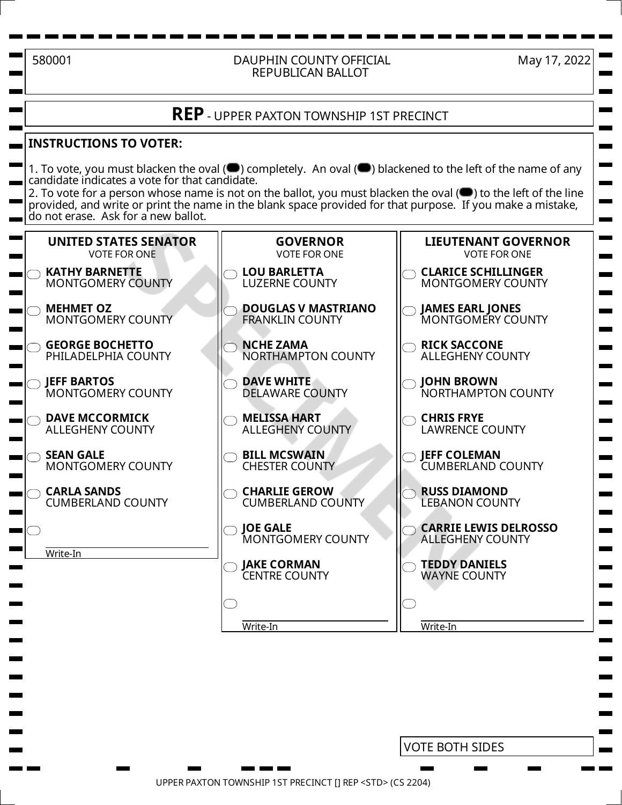## 580001 DAUPHIN COUNTY OFFICIAL REPUBLICAN BALLOT

May 17, 2022

## **REP** - UPPER PAXTON TOWNSHIP 1ST PRECINCT

## **INSTRUCTIONS TO VOTER:**

1. To vote, you must blacken the oval ( $\blacksquare$ ) completely. An oval ( $\blacksquare$ ) blackened to the left of the name of any candidate indicates a vote for that candidate.

2. To vote for a person whose name is not on the ballot, you must blacken the oval ( $\blacksquare$ ) to the left of the line provided, and write or print the name in the blank space provided for that purpose. If you make a mistake, do not erase. Ask for a new ballot.